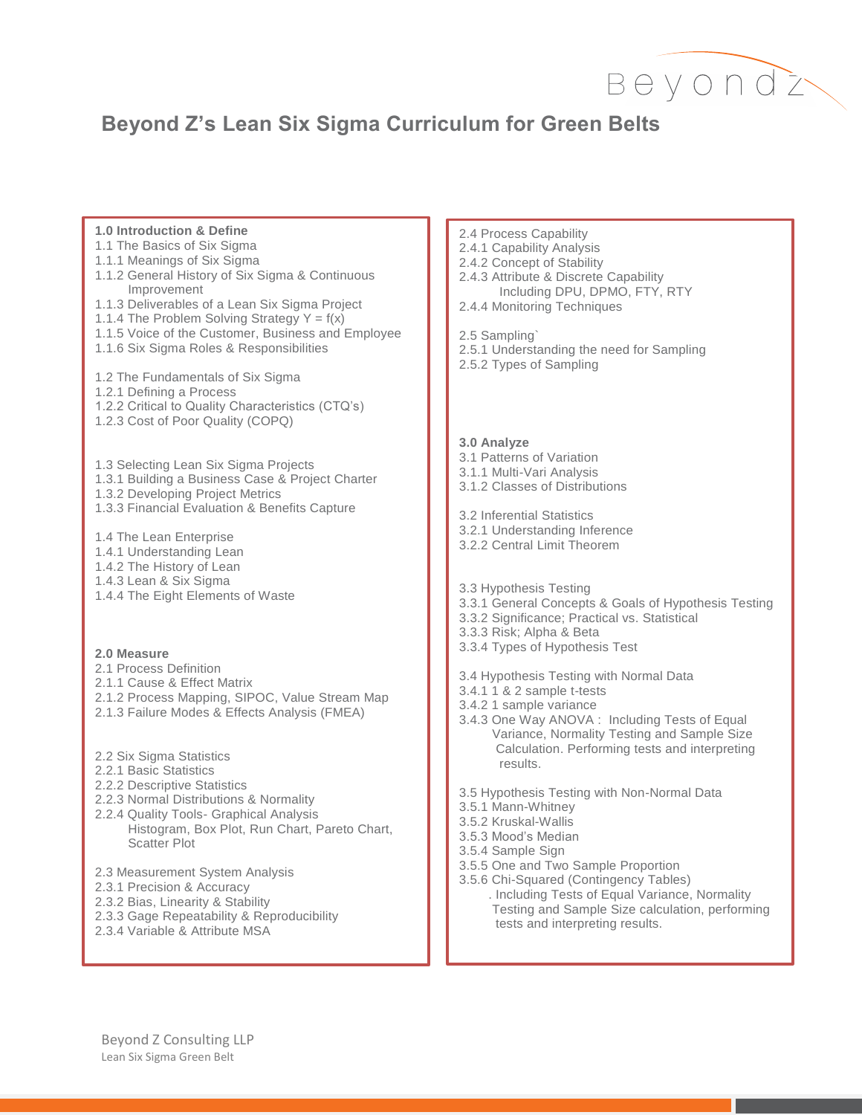

## **Beyond Z's Lean Six Sigma Curriculum for Green Belts**

## **1.0 Introduction & Define**

- 1.1 The Basics of Six Sigma
- 1.1.1 Meanings of Six Sigma
- 1.1.2 General History of Six Sigma & Continuous Improvement
- 1.1.3 Deliverables of a Lean Six Sigma Project
- 1.1.4 The Problem Solving Strategy  $Y = f(x)$
- 1.1.5 Voice of the Customer, Business and Employee
- 1.1.6 Six Sigma Roles & Responsibilities
- 1.2 The Fundamentals of Six Sigma
- 1.2.1 Defining a Process
- 1.2.2 Critical to Quality Characteristics (CTQ's)
- 1.2.3 Cost of Poor Quality (COPQ)
- 1.3 Selecting Lean Six Sigma Projects
- 1.3.1 Building a Business Case & Project Charter
- 1.3.2 Developing Project Metrics
- 1.3.3 Financial Evaluation & Benefits Capture
- 1.4 The Lean Enterprise
- 1.4.1 Understanding Lean
- 1.4.2 The History of Lean
- 1.4.3 Lean & Six Sigma
- 1.4.4 The Eight Elements of Waste

## **2.0 Measure**

- 2.1 Process Definition
- 2.1.1 Cause & Effect Matrix
- 2.1.2 Process Mapping, SIPOC, Value Stream Map
- 2.1.3 Failure Modes & Effects Analysis (FMEA)
- 2.2 Six Sigma Statistics
- 2.2.1 Basic Statistics
- 2.2.2 Descriptive Statistics
- 2.2.3 Normal Distributions & Normality
- 2.2.4 Quality Tools- Graphical Analysis Histogram, Box Plot, Run Chart, Pareto Chart, Scatter Plot
- 2.3 Measurement System Analysis
- 2.3.1 Precision & Accuracy
- 2.3.2 Bias, Linearity & Stability
- 2.3.3 Gage Repeatability & Reproducibility
- 2.3.4 Variable & Attribute MSA
- 2.4 Process Capability
- 2.4.1 Capability Analysis
- 2.4.2 Concept of Stability
- 2.4.3 Attribute & Discrete Capability
	- Including DPU, DPMO, FTY, RTY
- 2.4.4 Monitoring Techniques

2.5 Sampling`

- 2.5.1 Understanding the need for Sampling
- 2.5.2 Types of Sampling

## **3.0 Analyze**

- 3.1 Patterns of Variation
- 3.1.1 Multi-Vari Analysis
- 3.1.2 Classes of Distributions
- 3.2 Inferential Statistics
- 3.2.1 Understanding Inference
- 3.2.2 Central Limit Theorem
- 3.3 Hypothesis Testing
- 3.3.1 General Concepts & Goals of Hypothesis Testing
- 3.3.2 Significance; Practical vs. Statistical
- 3.3.3 Risk; Alpha & Beta
- 3.3.4 Types of Hypothesis Test
- 3.4 Hypothesis Testing with Normal Data
- 3.4.1 1 & 2 sample t-tests
- 3.4.2 1 sample variance
- 3.4.3 One Way ANOVA : Including Tests of Equal Variance, Normality Testing and Sample Size Calculation. Performing tests and interpreting results.
- 3.5 Hypothesis Testing with Non-Normal Data
- 3.5.1 Mann-Whitney
- 3.5.2 Kruskal-Wallis
- 3.5.3 Mood's Median
- 3.5.4 Sample Sign
- 3.5.5 One and Two Sample Proportion
- 3.5.6 Chi-Squared (Contingency Tables) . Including Tests of Equal Variance, Normality Testing and Sample Size calculation, performing tests and interpreting results.